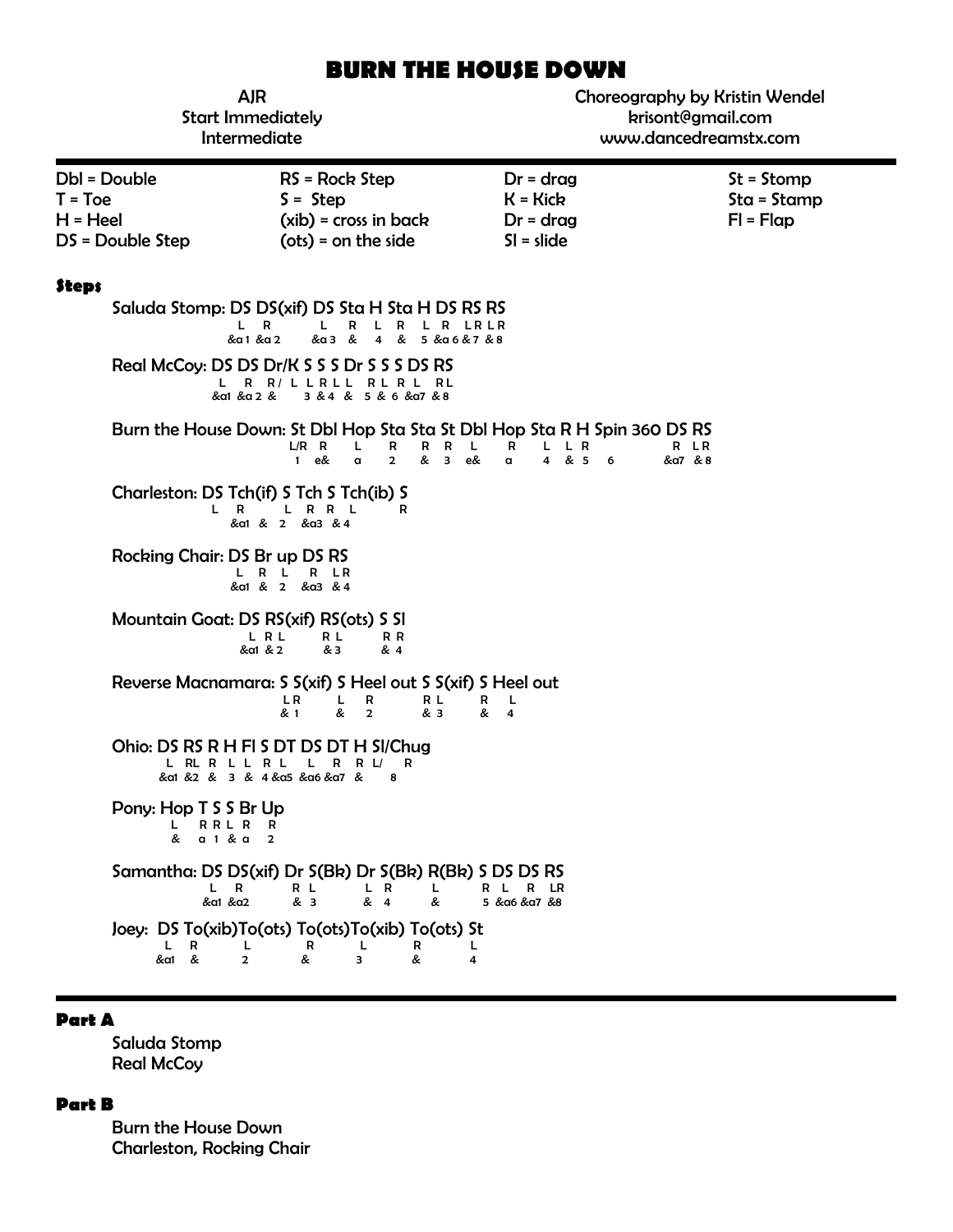# **BURN THE HOUSE DOWN**

| <b>AJR</b><br><b>Start Immediately</b><br>Intermediate      |                                                                                                                                                                                                                                              | Choreography by Kristin Wendel<br>krisont@gmail.com<br>www.dancedreamstx.com |                                              |
|-------------------------------------------------------------|----------------------------------------------------------------------------------------------------------------------------------------------------------------------------------------------------------------------------------------------|------------------------------------------------------------------------------|----------------------------------------------|
| Dbl = Double<br>$T = Toe$<br>$H = Heel$<br>DS = Double Step | RS = Rock Step<br>$S =$ Step<br>$(xib)$ = cross in back<br>$(ots) = on the side$                                                                                                                                                             | $Dr = drag$<br>$K = Kick$<br>$Dr = drag$<br>$SI = slide$                     | $St = Stomp$<br>$Sta = Stamp$<br>$FI = Flag$ |
| <b>Steps</b>                                                | Saluda Stomp: DS DS(xif) DS Sta H Sta H DS RS RS<br>L R<br>L.<br>R<br>L R L R LR LR<br>&a3 &<br>&α1 &α2<br>4 & 5 & a 6 & 7 & 8<br>Real McCoy: DS DS Dr/K S S S Dr S S S DS RS<br>L R R/LLRLL RLRL RL<br>&a1 &a 2 &<br>3 & 4 & 5 & 6 & a7 & 8 |                                                                              |                                              |
|                                                             | Burn the House Down: St Dbl Hop Sta Sta St Dbl Hop Sta R H Spin 360 DS RS<br>$L/R$ R<br>R<br>R<br>R<br>L.<br>& 3<br>$\mathbf{1}$<br>e&<br>$\alpha$<br>$\overline{2}$                                                                         | L<br>R<br>L R<br>L.<br>& 5<br>e&<br>$\overline{\mathbf{4}}$<br>6<br>$\alpha$ | R LR<br>&a7 & 8                              |
| L R                                                         | Charleston: DS Tch(if) S Tch S Tch(ib) S<br>L R R L<br>R<br>&a1 & 2 &a3 &4                                                                                                                                                                   |                                                                              |                                              |
| Rocking Chair: DS Br up DS RS                               | L R L R LR<br>&a1 & 2 &a3 & 4                                                                                                                                                                                                                |                                                                              |                                              |
|                                                             | Mountain Goat: DS RS(xif) RS(ots) S SI<br>L R L<br>R L<br>R R<br>&α1 & 2<br>& 3<br>& 4                                                                                                                                                       |                                                                              |                                              |
|                                                             | Reverse Macnamara: S S(xif) S Heel out S S(xif) S Heel out<br>L R<br>L.<br>R<br>R L<br>& 1<br>&<br>& 3<br>$\overline{2}$                                                                                                                     | R L<br>& 4                                                                   |                                              |
| L RL R L L R L                                              | Ohio: DS RS R H FI S DT DS DT H SI/Chug<br>L R R L/<br>R<br>&a1 &2 & 3 & 4&a5 &a6&a7 &<br>8                                                                                                                                                  |                                                                              |                                              |
| Pony: Hop T S S Br Up<br>RRL R<br>L.<br>& a 1 & a           | R<br>$\overline{2}$                                                                                                                                                                                                                          |                                                                              |                                              |
| L R<br>&a1 &a2                                              | Samantha: DS DS(xif) Dr S(Bk) Dr S(Bk) R(Bk) S DS DS RS<br>R L<br>L R<br>L<br>& 3<br>& 4<br>&                                                                                                                                                | R<br>LR<br>R L<br>5 & α6 & α7 & 8                                            |                                              |
| R<br>&a1 &                                                  | Joey: DS To(xib)To(ots) To(ots)To(xib) To(ots) St<br>R<br>L<br>R<br>L<br>&<br>3<br>&<br>$\overline{2}$                                                                                                                                       | L<br>4                                                                       |                                              |

## **Part A**

Saluda Stomp **Real McCoy** 

#### **Part B**

Burn the House Down Charleston, Rocking Chair